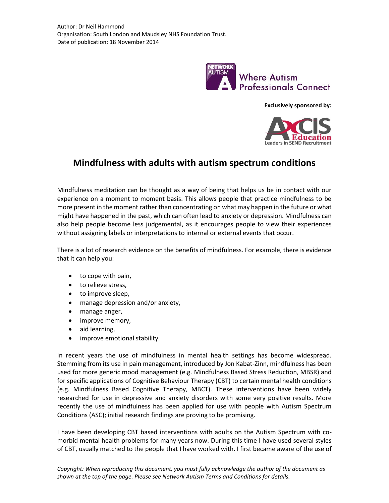

**Exclusively sponsored by:**



## **Mindfulness with adults with autism spectrum conditions**

Mindfulness meditation can be thought as a way of being that helps us be in contact with our experience on a moment to moment basis. This allows people that practice mindfulness to be more present in the moment rather than concentrating on what may happen in the future or what might have happened in the past, which can often lead to anxiety or depression. Mindfulness can also help people become less judgemental, as it encourages people to view their experiences without assigning labels or interpretations to internal or external events that occur.

There is a lot of research evidence on the benefits of mindfulness. For example, there is evidence that it can help you:

- to cope with pain,
- to relieve stress,
- to improve sleep,
- manage depression and/or anxiety,
- manage anger,
- improve memory,
- aid learning,
- improve emotional stability.

In recent years the use of mindfulness in mental health settings has become widespread. Stemming from its use in pain management, introduced by Jon Kabat-Zinn, mindfulness has been used for more generic mood management (e.g. Mindfulness Based Stress Reduction, MBSR) and for specific applications of Cognitive Behaviour Therapy (CBT) to certain mental health conditions (e.g. Mindfulness Based Cognitive Therapy, MBCT). These interventions have been widely researched for use in depressive and anxiety disorders with some very positive results. More recently the use of mindfulness has been applied for use with people with Autism Spectrum Conditions (ASC); initial research findings are proving to be promising.

I have been developing CBT based interventions with adults on the Autism Spectrum with comorbid mental health problems for many years now. During this time I have used several styles of CBT, usually matched to the people that I have worked with. I first became aware of the use of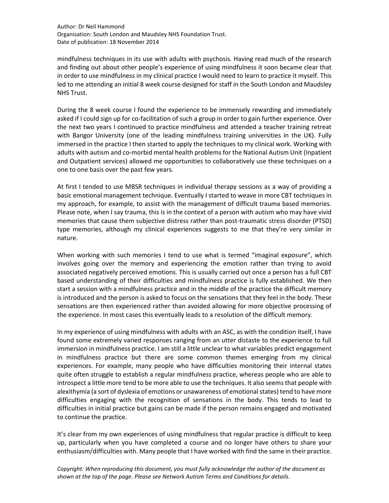Author: Dr Neil Hammond Organisation: South London and Maudsley NHS Foundation Trust. Date of publication: 18 November 2014

mindfulness techniques in its use with adults with psychosis. Having read much of the research and finding out about other people's experience of using mindfulness it soon became clear that in order to use mindfulness in my clinical practice I would need to learn to practice it myself. This led to me attending an initial 8 week course designed for staff in the South London and Maudsley NHS Trust.

During the 8 week course I found the experience to be immensely rewarding and immediately asked if I could sign up for co-facilitation of such a group in order to gain further experience. Over the next two years I continued to practice mindfulness and attended a teacher training retreat with Bangor University (one of the leading mindfulness training universities in the UK). Fully immersed in the practice I then started to apply the techniques to my clinical work. Working with adults with autism and co-morbid mental health problems for the National Autism Unit (Inpatient and Outpatient services) allowed me opportunities to collaboratively use these techniques on a one to one basis over the past few years.

At first I tended to use MBSR techniques in individual therapy sessions as a way of providing a basic emotional management technique. Eventually I started to weave in more CBT techniques in my approach, for example, to assist with the management of difficult trauma based memories. Please note, when I say trauma, this is in the context of a person with autism who may have vivid memories that cause them subjective distress rather than post-traumatic stress disorder (PTSD) type memories, although my clinical experiences suggests to me that they're very similar in nature.

When working with such memories I tend to use what is termed "imaginal exposure", which involves going over the memory and experiencing the emotion rather than trying to avoid associated negatively perceived emotions. This is usually carried out once a person has a full CBT based understanding of their difficulties and mindfulness practice is fully established. We then start a session with a mindfulness practice and in the middle of the practice the difficult memory is introduced and the person is asked to focus on the sensations that they feel in the body. These sensations are then experienced rather than avoided allowing for more objective processing of the experience. In most cases this eventually leads to a resolution of the difficult memory.

In my experience of using mindfulness with adults with an ASC, as with the condition itself, I have found some extremely varied responses ranging from an utter distaste to the experience to full immersion in mindfulness practice. I am still a little unclear to what variables predict engagement in mindfulness practice but there are some common themes emerging from my clinical experiences. For example, many people who have difficulties monitoring their internal states quite often struggle to establish a regular mindfulness practice, whereas people who are able to introspect a little more tend to be more able to use the techniques. It also seems that people with alexithymia (a sort of dyslexia of emotions or unawareness of emotional states) tend to have more difficulties engaging with the recognition of sensations in the body. This tends to lead to difficulties in initial practice but gains can be made if the person remains engaged and motivated to continue the practice.

It's clear from my own experiences of using mindfulness that regular practice is difficult to keep up, particularly when you have completed a course and no longer have others to share your enthusiasm/difficulties with. Many people that I have worked with find the same in their practice.

*Copyright: When reproducing this document, you must fully acknowledge the author of the document as shown at the top of the page. Please see Network Autism Terms and Conditions for details.*